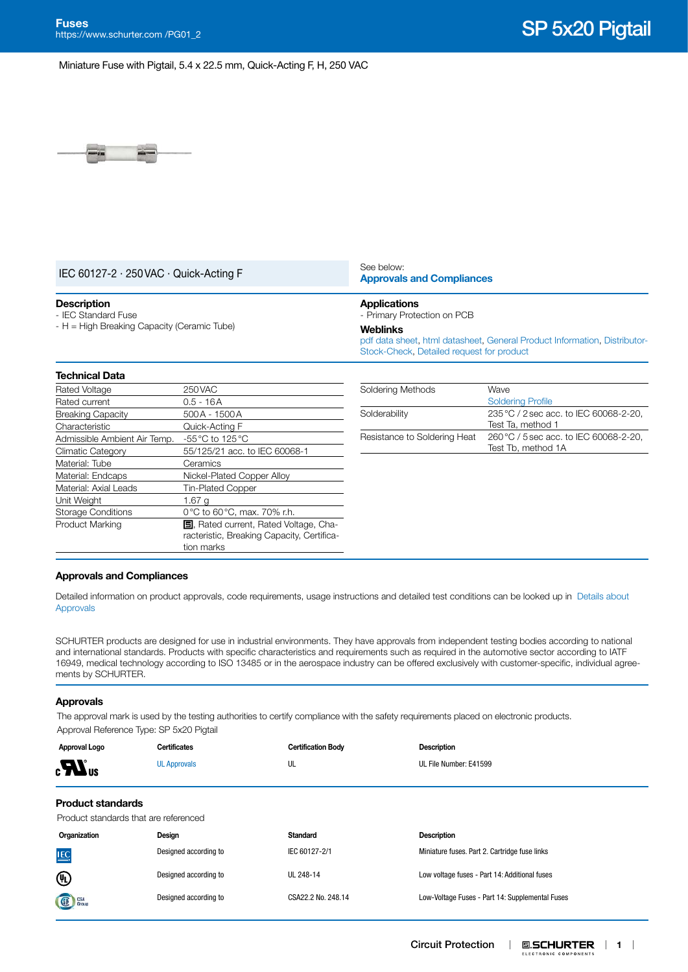Miniature Fuse with Pigtail, 5.4 x 22.5 mm, Quick-Acting F, H, 250 VAC



|  |  |  | IEC 60127-2 · 250 VAC · Quick-Acting F |  |
|--|--|--|----------------------------------------|--|
|--|--|--|----------------------------------------|--|

#### See below: **[Approvals and Compliances](#page-0-0)**

#### **Description**

- IEC Standard Fuse - H = High Breaking Capacity (Ceramic Tube)

## **Applications**

- Primary Protection on PCB

#### **Weblinks**

[pdf data sheet,](https://www.schurter.com/en/datasheet/typ_SP_5x20_Pigtail.pdf?utm_source=PDF_Files&utm_medium=SP_5x20_Pigtail&utm_campaign=Weblinks) [html datasheet](https://www.schurter.com/en/datasheet/SP%205x20%20Pigtail?&utm_source=PDF_Files&utm_medium=SP%205x20%20Pigtail&utm_campaign=Weblinks), [General Product Information,](https://www.schurter.com/en/FAQ) [Distributor-](https://www.schurter.com/en/Stock-Check/Stock-Check-Distributor?partnumber1=SP)[Stock-Check](https://www.schurter.com/en/Stock-Check/Stock-Check-Distributor?partnumber1=SP), [Detailed request for product](https://www.schurter.com/en/Contacts/Contact-Form?type=SP_5x20_Pigtail)

| <b>Technical Data</b>        |                                                                                                           |
|------------------------------|-----------------------------------------------------------------------------------------------------------|
| Rated Voltage                | 250 VAC                                                                                                   |
| Rated current                | 0.5 - 16A                                                                                                 |
| <b>Breaking Capacity</b>     | 500A - 1500A                                                                                              |
| Characteristic               | Quick-Acting F                                                                                            |
| Admissible Ambient Air Temp. | -55 °C to 125 °C                                                                                          |
| <b>Climatic Category</b>     | 55/125/21 acc. to IEC 60068-1                                                                             |
| Material: Tube               | Ceramics                                                                                                  |
| Material: Endcaps            | Nickel-Plated Copper Alloy                                                                                |
| Material: Axial Leads        | <b>Tin-Plated Copper</b>                                                                                  |
| Unit Weight                  | 1.67 g                                                                                                    |
| <b>Storage Conditions</b>    | 0°C to 60°C, max. 70% r.h.                                                                                |
| Product Marking              | <b>国</b> , Rated current, Rated Voltage, Cha-<br>racteristic, Breaking Capacity, Certifica-<br>tion marks |
|                              |                                                                                                           |

| Soldering Methods            | Wave                                                         |
|------------------------------|--------------------------------------------------------------|
|                              | <b>Soldering Profile</b>                                     |
| Solderability                | 235 °C / 2 sec acc. to IEC 60068-2-20,<br>Test Ta. method 1  |
| Resistance to Soldering Heat | 260 °C / 5 sec acc. to IEC 60068-2-20,<br>Test Tb, method 1A |

#### <span id="page-0-0"></span>**Approvals and Compliances**

Detailed information on product approvals, code requirements, usage instructions and detailed test conditions can be looked up in [Details about](https://www.schurter.com/en/Components/Connectors/General-Product-Information#1.1)  [Approvals](https://www.schurter.com/en/Components/Connectors/General-Product-Information#1.1)

SCHURTER products are designed for use in industrial environments. They have approvals from independent testing bodies according to national and international standards. Products with specific characteristics and requirements such as required in the automotive sector according to IATF 16949, medical technology according to ISO 13485 or in the aerospace industry can be offered exclusively with customer-specific, individual agreements by SCHURTER.

#### **Approvals**

The approval mark is used by the testing authorities to certify compliance with the safety requirements placed on electronic products. Approval Reference Type: SP 5x20 Pigtail

| Approval Logo<br>$_{\rm c}$ $\boldsymbol{Z}$ $_{\rm us}$          | <b>Certificates</b><br><b>UL Approvals</b> | <b>Certification Body</b><br>UL | <b>Description</b><br>UL File Number: E41599 |
|-------------------------------------------------------------------|--------------------------------------------|---------------------------------|----------------------------------------------|
| <b>Product standards</b><br>Product standards that are referenced |                                            |                                 |                                              |
| Organization                                                      | Design                                     | <b>Standard</b>                 | <b>Description</b>                           |

| <b>IEC</b>     | Designed according to | IEC 60127-2/1      | Miniature fuses. Part 2. Cartridge fuse links   |
|----------------|-----------------------|--------------------|-------------------------------------------------|
| $^{\circledR}$ | Designed according to | UL 248-14          | Low voltage fuses - Part 14: Additional fuses   |
| GE Group       | Designed according to | CSA22.2 No. 248.14 | Low-Voltage Fuses - Part 14: Supplemental Fuses |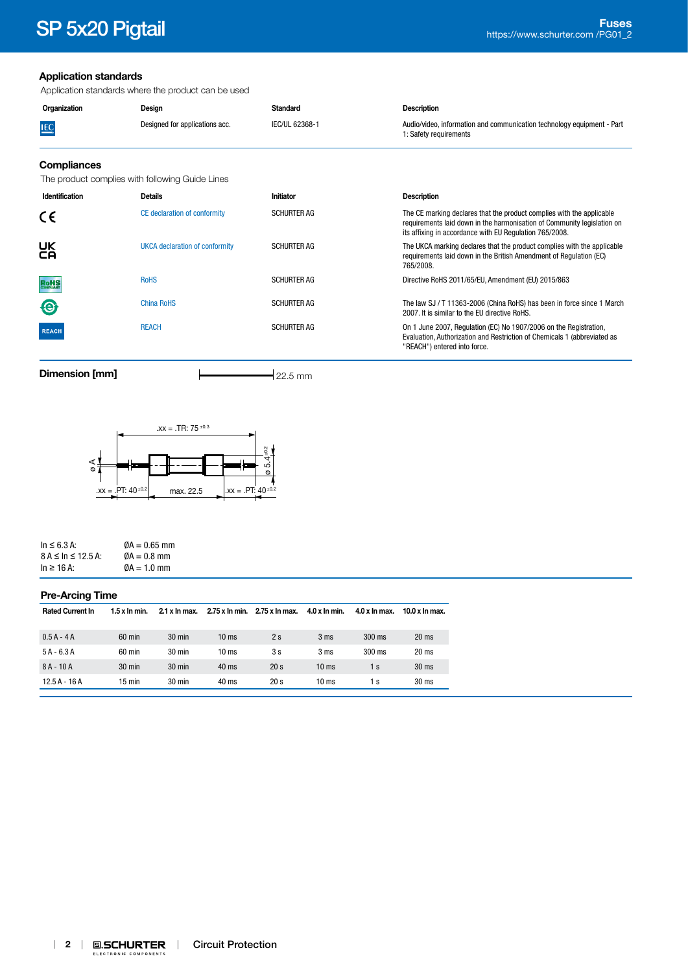#### **Application standards**

Application standards where the product can be used

| Organization | Design                         | Standard       | <b>Description</b>                                                                               |
|--------------|--------------------------------|----------------|--------------------------------------------------------------------------------------------------|
| LEC.         | Designed for applications acc. | IEC/UL 62368-1 | Audio/video, information and communication technology equipment - Part<br>1: Safety requirements |
|              |                                |                |                                                                                                  |

### **Compliances**

The product complies with following Guide Lines

| Identification | <b>Details</b>                 | Initiator          | <b>Description</b>                                                                                                                                                                                          |
|----------------|--------------------------------|--------------------|-------------------------------------------------------------------------------------------------------------------------------------------------------------------------------------------------------------|
| CE             | CE declaration of conformity   | <b>SCHURTER AG</b> | The CE marking declares that the product complies with the applicable<br>requirements laid down in the harmonisation of Community legislation on<br>its affixing in accordance with EU Regulation 765/2008. |
| <b>UK</b>      | UKCA declaration of conformity | <b>SCHURTER AG</b> | The UKCA marking declares that the product complies with the applicable<br>requirements laid down in the British Amendment of Requiation (EC)<br>765/2008.                                                  |
| <b>RoHS</b>    | <b>RoHS</b>                    | <b>SCHURTER AG</b> | Directive RoHS 2011/65/EU, Amendment (EU) 2015/863                                                                                                                                                          |
| $\Theta$       | <b>China RoHS</b>              | <b>SCHURTER AG</b> | The law SJ / T 11363-2006 (China RoHS) has been in force since 1 March<br>2007. It is similar to the EU directive RoHS.                                                                                     |
| <b>REACH</b>   | <b>REACH</b>                   | <b>SCHURTER AG</b> | On 1 June 2007, Regulation (EC) No 1907/2006 on the Registration,<br>Evaluation, Authorization and Restriction of Chemicals 1 (abbreviated as<br>"REACH") entered into force.                               |

**Dimension [mm]** 22.5 mm



| $\ln \leq 6.3$ A:            | $\varnothing$ A = 0.65 mm |
|------------------------------|---------------------------|
| $8 A \leq \ln \leq 12.5 A$ : | $\varnothing$ A = 0.8 mm  |
| $\ln \geq 16$ A:             | $\varnothing$ A = 1.0 mm  |

#### **Pre-Arcing Time**

| <b>Rated Current In</b> | $1.5x$ In min.   | 2.1 x ln max.    |                  | 2.75 x ln min. 2.75 x ln max. | $4.0 \times \ln \text{min}$ . | $4.0 x$ In max.  | $10.0 x$ In max. |
|-------------------------|------------------|------------------|------------------|-------------------------------|-------------------------------|------------------|------------------|
|                         |                  |                  |                  |                               |                               |                  |                  |
| $0.5A - 4A$             | $60$ min         | $30 \text{ min}$ | 10 <sub>ms</sub> | 2s                            | 3 ms                          | $300 \text{ ms}$ | 20 <sub>ms</sub> |
| $5A - 6.3A$             | $60 \text{ min}$ | $30 \text{ min}$ | 10 <sub>ms</sub> | 3 s                           | 3 <sub>ms</sub>               | $300$ ms         | 20 <sub>ms</sub> |
|                         |                  |                  |                  |                               |                               |                  |                  |
|                         |                  |                  |                  |                               |                               | 1 s              |                  |
| $12.5A - 16A$           | $15 \text{ min}$ | $30 \text{ min}$ | 40 ms            | 20 <sub>s</sub>               | $10 \text{ ms}$               | 1 s              | 30 <sub>ms</sub> |
| $8A - 10A$              | $30 \text{ min}$ | $30 \text{ min}$ | 40 ms            | 20 <sub>s</sub>               | $10 \text{ ms}$               |                  | 30 <sub>ms</sub> |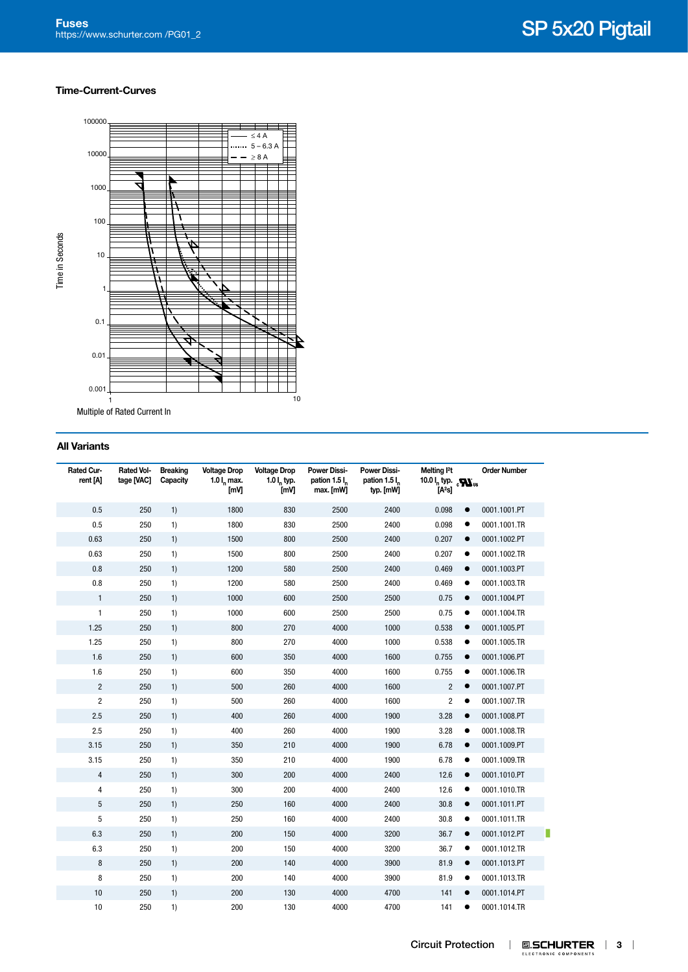#### **Time-Current-Curves**



Multiple of Rated Current In

#### **All Variants**

| Rated Cur-<br>rent [A] | <b>Rated Vol-</b><br>tage [VAC] | <b>Breaking</b><br>Capacity | <b>Voltage Drop</b><br>1.0 $I_n$ max.<br>[mV] | <b>Voltage Drop</b><br>$1.01$ <sub>r</sub> typ.<br>[mV] | <b>Power Dissi-</b><br>pation 1.5 I <sub>n</sub><br>max. [mW] | <b>Power Dissi-</b><br>pation 1.5 l<br>typ. [mW] | Melting <sup>2</sup> t<br>10.0 $I_n$ typ. $\epsilon N_{us}$<br>[A <sup>2</sup> s] |           | <b>Order Number</b> |
|------------------------|---------------------------------|-----------------------------|-----------------------------------------------|---------------------------------------------------------|---------------------------------------------------------------|--------------------------------------------------|-----------------------------------------------------------------------------------|-----------|---------------------|
| 0.5                    | 250                             | 1)                          | 1800                                          | 830                                                     | 2500                                                          | 2400                                             | 0.098                                                                             | $\bullet$ | 0001.1001.PT        |
| 0.5                    | 250                             | 1)                          | 1800                                          | 830                                                     | 2500                                                          | 2400                                             | 0.098                                                                             | $\bullet$ | 0001.1001.TR        |
| 0.63                   | 250                             | 1)                          | 1500                                          | 800                                                     | 2500                                                          | 2400                                             | 0.207                                                                             | $\bullet$ | 0001.1002.PT        |
| 0.63                   | 250                             | 1)                          | 1500                                          | 800                                                     | 2500                                                          | 2400                                             | 0.207                                                                             | $\bullet$ | 0001.1002.TR        |
| 0.8                    | 250                             | 1)                          | 1200                                          | 580                                                     | 2500                                                          | 2400                                             | 0.469                                                                             | $\bullet$ | 0001.1003.PT        |
| 0.8                    | 250                             | 1)                          | 1200                                          | 580                                                     | 2500                                                          | 2400                                             | 0.469                                                                             | $\bullet$ | 0001.1003.TR        |
| $\mathbf{1}$           | 250                             | 1)                          | 1000                                          | 600                                                     | 2500                                                          | 2500                                             | 0.75                                                                              | $\bullet$ | 0001.1004.PT        |
| $\mathbf{1}$           | 250                             | 1)                          | 1000                                          | 600                                                     | 2500                                                          | 2500                                             | 0.75                                                                              | $\bullet$ | 0001.1004.TR        |
| 1.25                   | 250                             | 1)                          | 800                                           | 270                                                     | 4000                                                          | 1000                                             | 0.538                                                                             | $\bullet$ | 0001.1005.PT        |
| 1.25                   | 250                             | 1)                          | 800                                           | 270                                                     | 4000                                                          | 1000                                             | 0.538                                                                             | $\bullet$ | 0001.1005.TR        |
| 1.6                    | 250                             | 1)                          | 600                                           | 350                                                     | 4000                                                          | 1600                                             | 0.755                                                                             | $\bullet$ | 0001.1006.PT        |
| 1.6                    | 250                             | 1)                          | 600                                           | 350                                                     | 4000                                                          | 1600                                             | 0.755                                                                             | $\bullet$ | 0001.1006.TR        |
| $\overline{2}$         | 250                             | 1)                          | 500                                           | 260                                                     | 4000                                                          | 1600                                             | $\overline{2}$                                                                    | $\bullet$ | 0001.1007.PT        |
| $\overline{c}$         | 250                             | 1)                          | 500                                           | 260                                                     | 4000                                                          | 1600                                             | $\overline{2}$                                                                    | $\bullet$ | 0001.1007.TR        |
| 2.5                    | 250                             | 1)                          | 400                                           | 260                                                     | 4000                                                          | 1900                                             | 3.28                                                                              | $\bullet$ | 0001.1008.PT        |
| 2.5                    | 250                             | 1)                          | 400                                           | 260                                                     | 4000                                                          | 1900                                             | 3.28                                                                              | $\bullet$ | 0001.1008.TR        |
| 3.15                   | 250                             | 1)                          | 350                                           | 210                                                     | 4000                                                          | 1900                                             | 6.78                                                                              | $\bullet$ | 0001.1009.PT        |
| 3.15                   | 250                             | 1)                          | 350                                           | 210                                                     | 4000                                                          | 1900                                             | 6.78                                                                              | $\bullet$ | 0001.1009.TR        |
| 4                      | 250                             | 1)                          | 300                                           | 200                                                     | 4000                                                          | 2400                                             | 12.6                                                                              | $\bullet$ | 0001.1010.PT        |
| 4                      | 250                             | 1)                          | 300                                           | 200                                                     | 4000                                                          | 2400                                             | 12.6                                                                              | $\bullet$ | 0001.1010.TR        |
| 5                      | 250                             | 1)                          | 250                                           | 160                                                     | 4000                                                          | 2400                                             | 30.8                                                                              | $\bullet$ | 0001.1011.PT        |
| 5                      | 250                             | 1)                          | 250                                           | 160                                                     | 4000                                                          | 2400                                             | 30.8                                                                              | $\bullet$ | 0001.1011.TR        |
| 6.3                    | 250                             | 1)                          | 200                                           | 150                                                     | 4000                                                          | 3200                                             | 36.7                                                                              | $\bullet$ | 0001.1012.PT        |
| 6.3                    | 250                             | 1)                          | 200                                           | 150                                                     | 4000                                                          | 3200                                             | 36.7                                                                              | $\bullet$ | 0001.1012.TR        |
| 8                      | 250                             | 1)                          | 200                                           | 140                                                     | 4000                                                          | 3900                                             | 81.9                                                                              | $\bullet$ | 0001.1013.PT        |
| 8                      | 250                             | 1)                          | 200                                           | 140                                                     | 4000                                                          | 3900                                             | 81.9                                                                              | $\bullet$ | 0001.1013.TR        |
| 10                     | 250                             | 1)                          | 200                                           | 130                                                     | 4000                                                          | 4700                                             | 141                                                                               | $\bullet$ | 0001.1014.PT        |
| 10                     | 250                             | 1)                          | 200                                           | 130                                                     | 4000                                                          | 4700                                             | 141                                                                               | $\bullet$ | 0001.1014.TR        |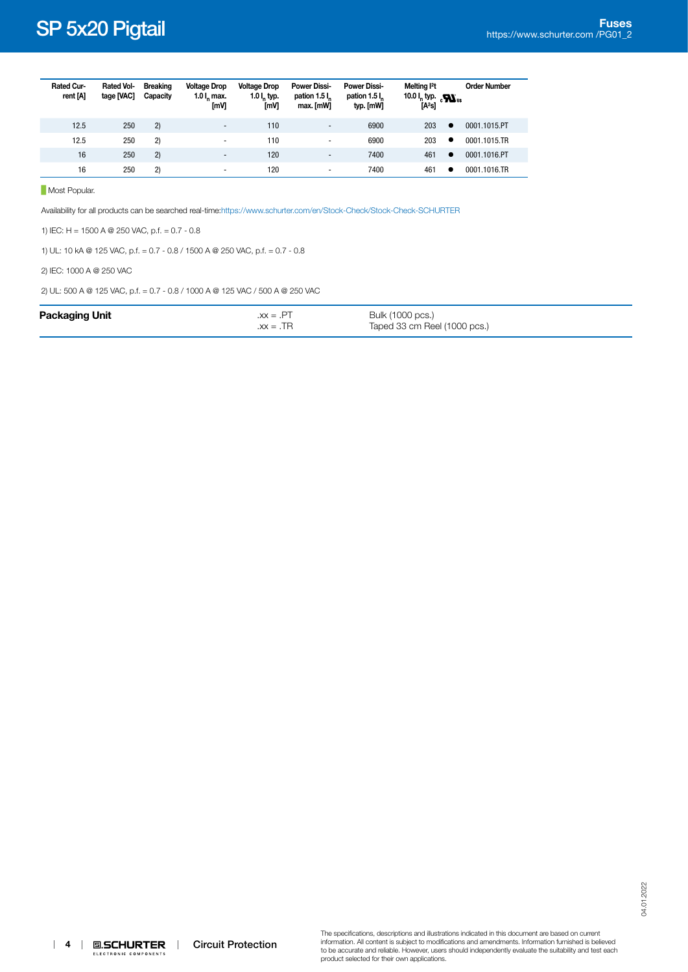| Rated Cur-<br>rent [A] | <b>Rated Vol-</b><br>tage [VAC] | <b>Breaking</b><br>Capacity | <b>Voltage Drop</b><br>$1.0$ l <sub>r</sub> max.<br>[mV] | <b>Voltage Drop</b><br>1.0 $I_n$ typ.<br>[mV] | <b>Power Dissi-</b><br>pation 1.5 l.<br>max. [mW] | <b>Power Dissi-</b><br>pation 1.5 l <sub>n</sub><br>typ. [mW] | Melting 12t<br>10.0 $I_n$ typ. $\sum_{\text{US}}$<br>[A <sup>2</sup> s] | <b>Order Number</b> |
|------------------------|---------------------------------|-----------------------------|----------------------------------------------------------|-----------------------------------------------|---------------------------------------------------|---------------------------------------------------------------|-------------------------------------------------------------------------|---------------------|
| 12.5                   | 250                             | 2)                          | $\overline{\phantom{0}}$                                 | 110                                           | $\overline{a}$                                    | 6900                                                          | 203<br>$\bullet$                                                        | 0001.1015.PT        |
| 12.5                   | 250                             | 2)                          | $\overline{\phantom{0}}$                                 | 110                                           | $\overline{\phantom{0}}$                          | 6900                                                          | 203<br>٠                                                                | 0001.1015.TR        |
| 16                     | 250                             | 2)                          | $\overline{\phantom{a}}$                                 | 120                                           | $\overline{\phantom{0}}$                          | 7400                                                          | 461<br>$\bullet$                                                        | 0001.1016.PT        |
| 16                     | 250                             | 2)                          | $\overline{\phantom{0}}$                                 | 120                                           | $\overline{\phantom{0}}$                          | 7400                                                          | 461<br>٠                                                                | 0001.1016.TR        |

**Most Popular.** 

Availability for all products can be searched real-time[:https://www.schurter.com/en/Stock-Check/Stock-Check-SCHURTER](https://www.schurter.com/en/Stock-Check/Stock-Check-SCHURTER)

1) IEC: H = 1500 A @ 250 VAC, p.f. = 0.7 - 0.8

1) UL: 10 kA @ 125 VAC, p.f. = 0.7 - 0.8 / 1500 A @ 250 VAC, p.f. = 0.7 - 0.8

2) IEC: 1000 A @ 250 VAC

2) UL: 500 A @ 125 VAC, p.f. = 0.7 - 0.8 / 1000 A @ 125 VAC / 500 A @ 250 VAC

| <b>Packaging Unit</b> | $.xx = .PT$<br>$\overline{X}X = \overline{X}R$ | Bulk (1000 pcs.)<br>Taped 33 cm Reel (1000 pcs.) |  |
|-----------------------|------------------------------------------------|--------------------------------------------------|--|
|                       |                                                |                                                  |  |